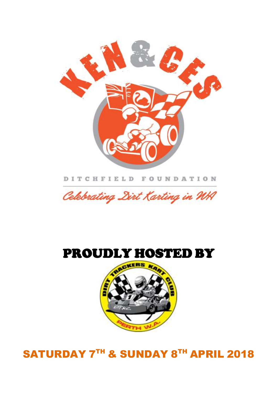# SATURDAY 7TH & SUNDAY 8TH APRIL 2018



# PROUDLY HOSTED BY



DITCHFIELD FOUNDATION

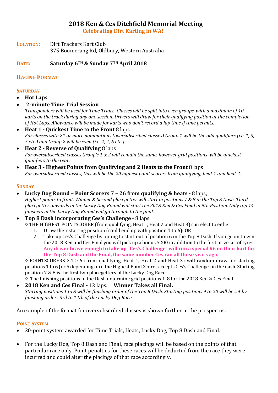### **2018 Ken & Ces Ditchfield Memorial Meeting**

**Celebrating Dirt Karting in WA!**

**LOCATION:** Dirt Trackers Kart Club 375 Boomerang Rd, Oldbury, Western Australia

### **DATE: Saturday 6TH & Sunday 7TH April 2018**

### **RACING FORMAT**

### **SATURDAY**

- **Hot Laps**
- **2-minute Time Trial Session**

*Transponders will be used for Time Trials. Classes will be split into even groups, with a maximum of 10 karts on the track during any one session. Drivers will draw for their qualifying position at the completion of Hot Laps. Allowance will be made for karts who don't record a lap time if time permits.*

- **Heat 1 - Quickest Time to the Front** 8 laps *For classes with 21 or more nominations (oversubscribed classes) Group 1 will be the odd qualifiers (i.e. 1, 3, 5 etc.) and Group 2 will be even (i.e. 2, 4, 6 etc.)*
- **Heat 2 - Reverse of Qualifying** 8 laps *For oversubscribed classes Group's 1 & 2 will remain the same, however grid positions will be quickest qualifiers to the rear.*
- **Heat 3 - Highest Points from Qualifying and 2 Heats to the Front** 8 laps *For oversubscribed classes, this will be the 20 highest point scorers from qualifying, heat 1 and heat 2.*

### **SUNDAY**

- **Lucky Dog Round – Point Scorers 7 – 26 from qualifying & heats -** 8 laps, *Highest points to front. Winner & Second placegetter will start in positions 7 & 8 in the Top 8 Dash. Third placegetter onwards in the Lucky Dog Round will start the 2018 Ken & Ces Final in 9th Position. Only top 14 finishers in the Lucky Dog Round will go through to the final.*
- **Top 8 Dash incorporating Ces's Challenge** 8 laps.

○ THE HIGHEST POINTSCORER (from qualifying, Heat 1, Heat 2 and Heat 3) can elect to either:

- 1. Draw their starting position (could end up with position 1 to 6): OR
- 2. Take up Ces's Challenge by opting to start out of position 6 in the Top 8 Dash. If you go on to win the 2018 Ken and Ces Final you will pick up a bonus \$200 in addition to the first prize set of tyres. **Any driver brave enough to take up "Ces's Challenge" will run a special #6 on their kart for the Top 8 Dash and the Final, the same number Ces ran all those years ago.**

 $\circ$  POINTSCORERS 2 TO 6 (from qualifying, Heat 1, Heat 2 and Heat 3) will random draw for starting positions 1 to 6 (or 5 depending on if the Highest Point Scorer accepts Ces's Challenge) in the dash. Starting position 7 & 8 is the first two placegetters of the Lucky Dog Race.

 $\circ$  The finishing positions in the Dash determine grid positions 1-8 for the 2018 Ken & Ces Final.

• **2018 Ken and Ces Final -** 12 laps. **Winner Takes all Final.** *Starting positions 1 to 8 will be finishing order of the Top 8 Dash. Starting positions 9 to 20 will be set by finishing orders 3rd to 14th of the Lucky Dog Race.*

An example of the format for oversubscribed classes is shown further in the prospectus.

### **POINT SYSTEM**

- 20-point system awarded for Time Trials, Heats, Lucky Dog, Top 8 Dash and Final.
- For the Lucky Dog, Top 8 Dash and Final, race placings will be based on the points of that particular race only. Point penalties for these races will be deducted from the race they were incurred and could alter the placings of that race accordingly.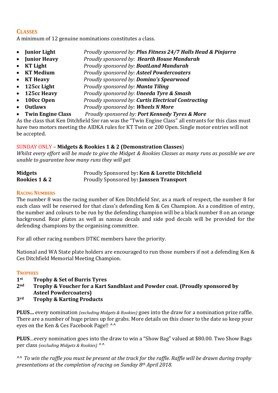### **CLASSES**

A minimum of 12 genuine nominations constitutes a class.

- **Junior Light** *Proudly sponsored by: Plus Fitness 24/7 Halls Head & Pinjarra*
- **Junior Heavy** *Proudly sponsored by: Hearth House Mandurah*
- **KT Light** *Proudly sponsored by: BoatLand Mandurah*
- **KT Medium** *Proudly sponsored by: Asteel Powdercoaters*
- **KT Heavy** *Proudly sponsored by: Domino's Spearwood*
- **125cc Light** *Proudly sponsored by: Manta Tiling*
- **125cc Heavy** *Proudly sponsored by: Uneeda Tyre & Smash*
- **100cc Open** *Proudly sponsored by: Curtis Electrical Contracting*
- **Outlaws** *Proudly sponsored by: Wheels N More*
- **Twin Engine Class** *Proudly sponsored by: Port Kennedy Tyres & More*

As the class that Ken Ditchfield Snr ran was the "Twin Engine Class" all entrants for this class must have two motors meeting the AIDKA rules for KT Twin or 200 Open. Single motor entries will not be accepted.

### SUNDAY ONLY – **Midgets & Rookies 1 & 2 (Demonstration Classes**)

*Whilst every effort will be made to give the Midget & Rookies Classes as many runs as possible we are unable to guarantee how many runs they will get*

| <b>Midgets</b> | Proudly Sponsored by: Ken & Lorette Ditchfield |
|----------------|------------------------------------------------|
| Rookies 1 & 2  | Proudly Sponsored by: Janssen Transport        |

### **RACING NUMBERS**

The number 8 was the racing number of Ken Ditchfield Snr, as a mark of respect, the number 8 for each class will be reserved for that class's defending Ken & Ces Champion. As a condition of entry, the number and colours to be run by the defending champion will be a black number 8 on an orange background. Rear plates as well as nassau decals and side pod decals will be provided for the defending champions by the organising committee.

For all other racing numbers DTKC members have the priority.

National and WA State plate holders are encouraged to run those numbers if not a defending Ken & Ces Ditchfield Memorial Meeting Champion.

### **TROPHIES**

- **1st Trophy & Set of Burris Tyres**
- **2nd Trophy & Voucher for a Kart Sandblast and Powder coat. (Proudly sponsored by Asteel Powdercoaters)**
- **3rd Trophy & Karting Products**

**PLUS…** every nomination *(excluding Midgets & Rookies)* goes into the draw for a nomination prize raffle. There are a number of huge prizes up for grabs. More details on this closer to the date so keep your eyes on the Ken & Ces Facebook Page!! ^^

**PLUS**…every nomination goes into the draw to win a "Show Bag" valued at \$80.00. Two Show Bags per class *(excluding Midgets & Rookies)* ^^

^^ *To win the raffle you must be present at the track for the raffle. Raffle will be drawn during trophy presentations at the completion of racing on Sunday 8th April 2018.*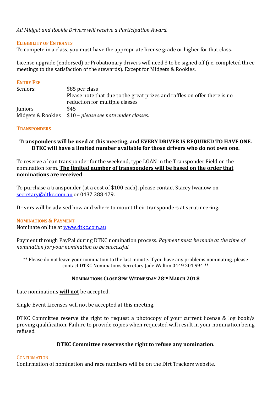### *All Midget and Rookie Drivers will receive a Participation Award.*

### **ELIGIBILITY OF ENTRANTS**

To compete in a class, you must have the appropriate license grade or higher for that class.

License upgrade (endorsed) or Probationary drivers will need 3 to be signed off (i.e. completed three meetings to the satisfaction of the stewards). Except for Midgets & Rookies.

### **ENTRY FEE**

| Seniors:       | \$85 per class                                                            |  |  |
|----------------|---------------------------------------------------------------------------|--|--|
|                | Please note that due to the great prizes and raffles on offer there is no |  |  |
|                | reduction for multiple classes                                            |  |  |
| <b>Juniors</b> | \$45                                                                      |  |  |
|                | Midgets & Rookies \$10 – please see note under classes.                   |  |  |

### **TRANSPONDERS**

### **Transponders will be used at this meeting, and EVERY DRIVER IS REQUIRED TO HAVE ONE. DTKC will have a limited number available for those drivers who do not own one.**

To reserve a loan transponder for the weekend, type LOAN in the Transponder Field on the nomination form. **The limited number of transponders will be based on the order that nominations are received**

To purchase a transponder (at a cost of \$100 each), please contact Stacey Iwanow on [secretary@dtkc.com.au](mailto:secretary@dtkc.com.au) or 0437 388 479.

Drivers will be advised how and where to mount their transponders at scrutineering.

### **NOMINATIONS & PAYMENT** Nominate online at [www.dtkc.com.au](http://www.dtkc.com.au/)

Payment through PayPal during DTKC nomination process. *Payment must be made at the time of nomination for your nomination to be successful.* 

\*\* Please do not leave your nomination to the last minute. If you have any problems nominating, please contact DTKC Nominations Secretary Jade Walton 0449 201 994 \*\*

### **NOMINATIONS CLOSE 8PM WEDNESDAY 28TH MARCH 2018**

Late nominations **will not** be accepted.

Single Event Licenses will not be accepted at this meeting.

DTKC Committee reserve the right to request a photocopy of your current license & log book/s proving qualification. Failure to provide copies when requested will result in your nomination being refused.

### **DTKC Committee reserves the right to refuse any nomination.**

### **CONFIRMATION**

Confirmation of nomination and race numbers will be on the Dirt Trackers website.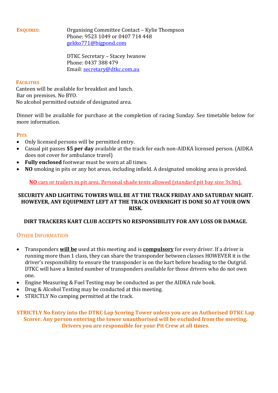**ENQUIRES:** Organising Committee Contact – Kylie Thompson Phone: 9523 1049 or 0407 714 448 [gekko771@bigpond.com](mailto:gekko771@bigpond.com)

> DTKC Secretary – Stacey Iwanow Phone: 0437 388 479 Email: [secretary@dtkc.com.au](mailto:secretary@dtkc.com.au)

### **FACILITIES**

Canteen will be available for breakfast and lunch. Bar on premises. No BYO. No alcohol permitted outside of designated area.

Dinner will be available for purchase at the completion of racing Sunday. See timetable below for more information.

### **PITS**

- Only licensed persons will be permitted entry.
- Casual pit passes **\$5 per day** available at the track for each non-AIDKA licensed person. (AIDKA does not cover for ambulance travel)
- **Fully enclosed** footwear must be worn at all times.
- **NO** smoking in pits or any hot areas, including infield. A designated smoking area is provided.

**NO** cars or trailers in pit area. Personal shade tents allowed (standard pit bay size 3x3m).

### **SECURITY AND LIGHTING TOWERS WILL BE AT THE TRACK FRIDAY AND SATURDAY NIGHT. HOWEVER, ANY EQUIPMENT LEFT AT THE TRACK OVERNIGHT IS DONE SO AT YOUR OWN RISK.**

### **DIRT TRACKERS KART CLUB ACCEPTS NO RESPONSIBILITY FOR ANY LOSS OR DAMAGE.**

### OTHER INFORMATION

- Transponders **will be** used at this meeting and is **compulsory** for every driver. If a driver is running more than 1 class, they can share the transponder between classes HOWEVER it is the driver's responsibility to ensure the transponder is on the kart before heading to the Outgrid. DTKC will have a limited number of transponders available for those drivers who do not own one.
- Engine Measuring & Fuel Testing may be conducted as per the AIDKA rule book.
- Drug & Alcohol Testing may be conducted at this meeting.
- STRICTLY No camping permitted at the track.

**STRICTLY No Entry into the DTKC Lap Scoring Tower unless you are an Authorised DTKC Lap Scorer. Any person entering the tower unauthorised will be excluded from the meeting. Drivers you are responsible for your Pit Crew at all times.**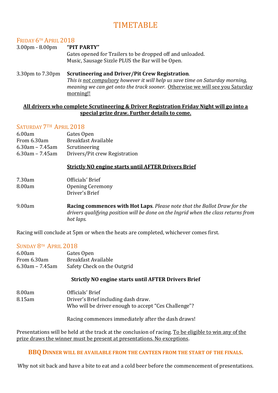# TIMETABLE

### FRIDAY 6TH APRIL 2018

### 3.00pm - 8.00pm **"PIT PARTY"** Gates opened for Trailers to be dropped off and unloaded. Music, Sausage Sizzle PLUS the Bar will be Open.

3.30pm to 7.30pm **Scrutineering and Driver/Pit Crew Registration**. *This is not compulsory however it will help us save time on Saturday morning, meaning we can get onto the track sooner.* Otherwise we will see you Saturday morning!!

### **All drivers who complete Scrutineering & Driver Registration Friday Night will go into a special prize draw. Further details to come.**

### SATURDAY 7TH APRIL 2018

| 6.00am             | Gates Open                    |
|--------------------|-------------------------------|
| From 6.30am        | <b>Breakfast Available</b>    |
| $6.30$ am – 7.45am | Scrutineering                 |
| $6.30$ am – 7.45am | Drivers/Pit crew Registration |

### **Strictly NO engine starts until AFTER Drivers Brief**

| 7.30am | Officials' Brief        |
|--------|-------------------------|
| 8.00am | <b>Opening Ceremony</b> |
|        | Driver's Brief          |

9.00am **Racing commences with Hot Laps**. *Please note that the Ballot Draw for the drivers qualifying position will be done on the Ingrid when the class returns from hot laps.* 

Racing will conclude at 5pm or when the heats are completed, whichever comes first.

### SUNDAY 8TH APRIL 2018

| 6.00am             | Gates Open                  |
|--------------------|-----------------------------|
| From 6.30am        | <b>Breakfast Available</b>  |
| $6.30$ am – 7.45am | Safety Check on the Outgrid |

### **Strictly NO engine starts until AFTER Drivers Brief**

| 8.00am | Officials' Brief                                     |
|--------|------------------------------------------------------|
| 8.15am | Driver's Brief including dash draw.                  |
|        | Who will be driver enough to accept "Ces Challenge"? |

Racing commences immediately after the dash draws!

Presentations will be held at the track at the conclusion of racing. To be eligible to win any of the prize draws the winner must be present at presentations. No exceptions.

### **BBQ DINNER WILL BE AVAILABLE FROM THE CANTEEN FROM THE START OF THE FINALS.**

Why not sit back and have a bite to eat and a cold beer before the commencement of presentations.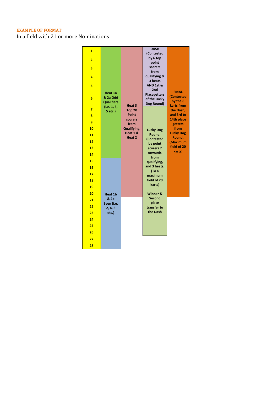### **EXAMPLE OF FORMAT**

In a field with 21 or more Nominations

| $\mathbf{1}$   |                                          |                                    | <b>DASH</b><br>(Contested                                |                                        |
|----------------|------------------------------------------|------------------------------------|----------------------------------------------------------|----------------------------------------|
| $\overline{2}$ |                                          |                                    | by 6 top                                                 |                                        |
|                |                                          |                                    | point                                                    |                                        |
| 3              |                                          |                                    | scorers                                                  |                                        |
| 4              |                                          |                                    | from<br>qualifying &                                     |                                        |
|                |                                          |                                    | 3 heats                                                  |                                        |
| 5              |                                          |                                    | AND 1st &                                                |                                        |
| 6              | Heat 1a<br>& 2a Odd<br><b>Qualifiers</b> |                                    | 2nd<br><b>Placegetters</b><br>of the Lucky<br>Dog Round) | <b>FINAL</b><br>(Contested<br>by the 8 |
| $\overline{7}$ | (i.e. 1, 3,<br>5 etc.)                   | Heat <sub>3</sub><br><b>Top 20</b> |                                                          | karts from<br>the Dash,                |
| 8              |                                          | Point                              |                                                          | and 3rd to                             |
| 9              |                                          | scorers<br>from                    |                                                          | 14th place<br>getters                  |
| 10             |                                          | Qualifying,                        | <b>Lucky Dog</b>                                         | from                                   |
| 11             |                                          | Heat 1 &<br>Heat 2                 | Round.                                                   | <b>Lucky Dog</b><br>Round.             |
| 12             |                                          |                                    | (Contested<br>by point                                   | (Maximum                               |
| 13             |                                          |                                    | scorers 7                                                | field of 20                            |
| 14             |                                          |                                    | onwards                                                  | karts)                                 |
| 15             |                                          |                                    | from<br>qualifying,                                      |                                        |
| 16             |                                          |                                    | and 3 heats.                                             |                                        |
| 17             |                                          |                                    | (To a<br>maximum                                         |                                        |
| 18             |                                          |                                    | field of 20                                              |                                        |
| 19             |                                          |                                    | karts)                                                   |                                        |
| 20             | Heat 1b                                  |                                    | Winner &                                                 |                                        |
| 21             | & 2b<br>Even (i.e.                       |                                    | <b>Second</b><br>place                                   |                                        |
| 22             | 2, 4, 6                                  |                                    | transfer to                                              |                                        |
| 23             | etc.)                                    |                                    | the Dash                                                 |                                        |
| 24             |                                          |                                    |                                                          |                                        |
| 25             |                                          |                                    |                                                          |                                        |
| 26             |                                          |                                    |                                                          |                                        |
| 27             |                                          |                                    |                                                          |                                        |
| 28             |                                          |                                    |                                                          |                                        |